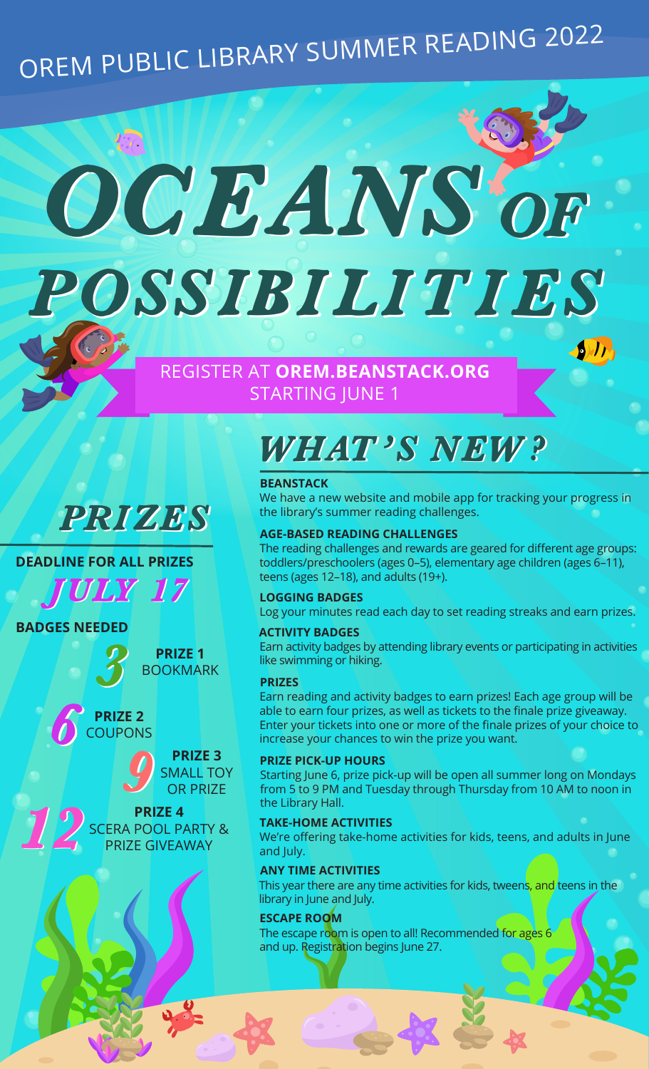# OREM PUBLIC LIBRARY SUMMER READING 2022

OCEANS OF POSSIBILITIES POSSIBILITIES

REGISTER AT **OREM.BEANSTACK.ORG**

STARTING JUNE 1

### PRIZES

#### **DEADLINE FOR ALL PRIZES**

JULY 17 JULY 17

**BADGES NEEDED**

**PRIZE 1**<br>BOOKMARK

# **PRIZE 2**<br>COUPONS



**PRIZE 4** SCERA POOL PARTY &<br>PRIZE GIVEAWAY

### WHAT'S NEW?

#### **BEANSTACK**

We have a new website and mobile app for tracking your progress in the library's summer reading challenges.

 $\mathcal{D}$ 

#### **AGE-BASED READING CHALLENGES**

The reading challenges and rewards are geared for different age groups: toddlers/preschoolers (ages 0–5), elementary age children (ages 6–11), teens (ages 12–18), and adults (19+).

#### **LOGGING BADGES**

Log your minutes read each day to set reading streaks and earn prizes.

#### **ACTIVITY BADGES**

Earn activity badges by attending library events or participating in activities like swimming or hiking.

#### **PRIZES**

Earn reading and activity badges to earn prizes! Each age group will be able to earn four prizes, as well as tickets to the finale prize giveaway. Enter your tickets into one or more of the finale prizes of your choice to increase your chances to win the prize you want.

#### **PRIZE PICK-UP HOURS**

Starting June 6, prize pick-up will be open all summer long on Mondays from 5 to 9 PM and Tuesday through Thursday from 10 AM to noon in the Library Hall.

#### **TAKE-HOME ACTIVITIES**

We're offering take-home activities for kids, teens, and adults in June and July.

#### **ANY TIME ACTIVITIES**

This year there are any time activities for kids, tweens, and teens in the library in June and July.

#### **ESCAPE ROOM**

The escape room is open to all! Recommended for ages 6 and up. Registration begins June 27.